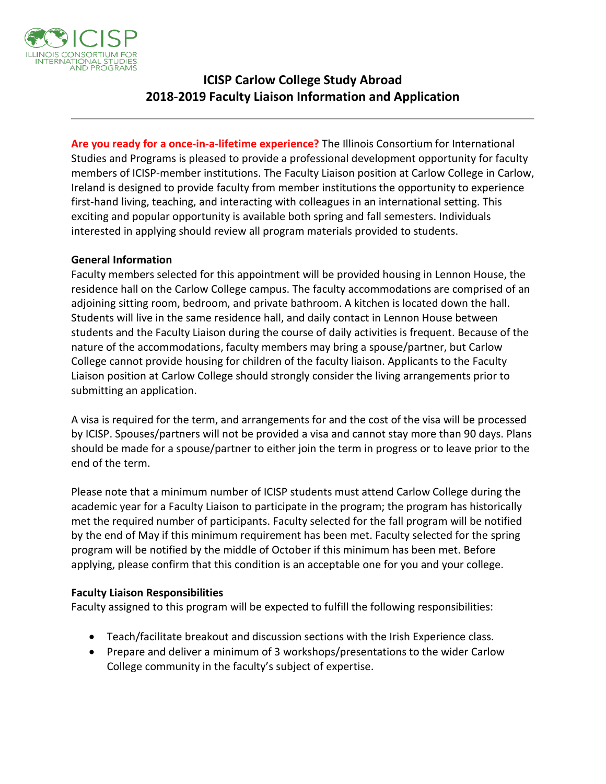

## **ICISP Carlow College Study Abroad 2018-2019 Faculty Liaison Information and Application**

**Are you ready for a once-in-a-lifetime experience?** The Illinois Consortium for International Studies and Programs is pleased to provide a professional development opportunity for faculty members of ICISP-member institutions. The Faculty Liaison position at Carlow College in Carlow, Ireland is designed to provide faculty from member institutions the opportunity to experience first-hand living, teaching, and interacting with colleagues in an international setting. This exciting and popular opportunity is available both spring and fall semesters. Individuals interested in applying should review all program materials provided to students.

### **General Information**

Faculty members selected for this appointment will be provided housing in Lennon House, the residence hall on the Carlow College campus. The faculty accommodations are comprised of an adjoining sitting room, bedroom, and private bathroom. A kitchen is located down the hall. Students will live in the same residence hall, and daily contact in Lennon House between students and the Faculty Liaison during the course of daily activities is frequent. Because of the nature of the accommodations, faculty members may bring a spouse/partner, but Carlow College cannot provide housing for children of the faculty liaison. Applicants to the Faculty Liaison position at Carlow College should strongly consider the living arrangements prior to submitting an application.

A visa is required for the term, and arrangements for and the cost of the visa will be processed by ICISP. Spouses/partners will not be provided a visa and cannot stay more than 90 days. Plans should be made for a spouse/partner to either join the term in progress or to leave prior to the end of the term.

Please note that a minimum number of ICISP students must attend Carlow College during the academic year for a Faculty Liaison to participate in the program; the program has historically met the required number of participants. Faculty selected for the fall program will be notified by the end of May if this minimum requirement has been met. Faculty selected for the spring program will be notified by the middle of October if this minimum has been met. Before applying, please confirm that this condition is an acceptable one for you and your college.

### **Faculty Liaison Responsibilities**

Faculty assigned to this program will be expected to fulfill the following responsibilities:

- Teach/facilitate breakout and discussion sections with the Irish Experience class.
- Prepare and deliver a minimum of 3 workshops/presentations to the wider Carlow College community in the faculty's subject of expertise.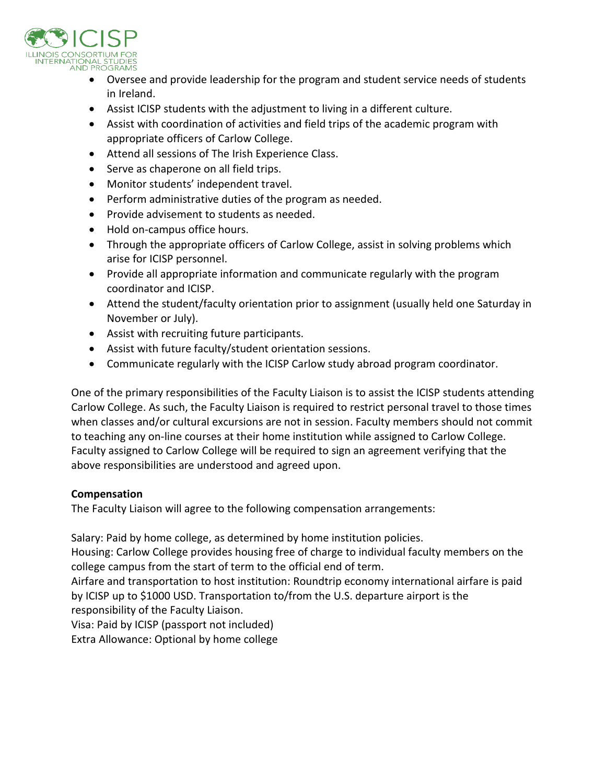

- Oversee and provide leadership for the program and student service needs of students in Ireland.
- Assist ICISP students with the adjustment to living in a different culture.
- Assist with coordination of activities and field trips of the academic program with appropriate officers of Carlow College.
- Attend all sessions of The Irish Experience Class.
- Serve as chaperone on all field trips.
- Monitor students' independent travel.
- Perform administrative duties of the program as needed.
- Provide advisement to students as needed.
- Hold on-campus office hours.
- Through the appropriate officers of Carlow College, assist in solving problems which arise for ICISP personnel.
- Provide all appropriate information and communicate regularly with the program coordinator and ICISP.
- Attend the student/faculty orientation prior to assignment (usually held one Saturday in November or July).
- Assist with recruiting future participants.
- Assist with future faculty/student orientation sessions.
- Communicate regularly with the ICISP Carlow study abroad program coordinator.

One of the primary responsibilities of the Faculty Liaison is to assist the ICISP students attending Carlow College. As such, the Faculty Liaison is required to restrict personal travel to those times when classes and/or cultural excursions are not in session. Faculty members should not commit to teaching any on-line courses at their home institution while assigned to Carlow College. Faculty assigned to Carlow College will be required to sign an agreement verifying that the above responsibilities are understood and agreed upon.

### **Compensation**

The Faculty Liaison will agree to the following compensation arrangements:

Salary: Paid by home college, as determined by home institution policies.

Housing: Carlow College provides housing free of charge to individual faculty members on the college campus from the start of term to the official end of term.

Airfare and transportation to host institution: Roundtrip economy international airfare is paid by ICISP up to \$1000 USD. Transportation to/from the U.S. departure airport is the responsibility of the Faculty Liaison.

Visa: Paid by ICISP (passport not included)

Extra Allowance: Optional by home college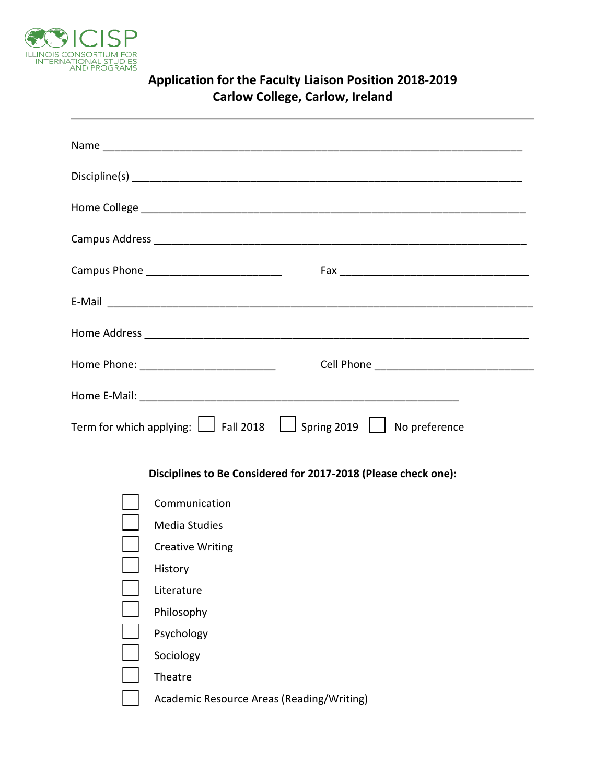

| Carlow College, Carlow, Ireland                                                                                |                                                                |
|----------------------------------------------------------------------------------------------------------------|----------------------------------------------------------------|
|                                                                                                                |                                                                |
|                                                                                                                |                                                                |
|                                                                                                                |                                                                |
|                                                                                                                |                                                                |
| Campus Phone ______________________________                                                                    |                                                                |
|                                                                                                                |                                                                |
|                                                                                                                |                                                                |
| Home Phone: _____________________________                                                                      |                                                                |
|                                                                                                                |                                                                |
| Term for which applying: $\boxed{\phantom{0}}$ Fall 2018 $\phantom{0}$ Spring 2019 $\phantom{0}$ No preference |                                                                |
|                                                                                                                | Disciplines to Be Considered for 2017-2018 (Please check one): |
| Communication<br><b>Media Studies</b><br><b>Creative Writing</b><br>History<br>Literature<br>Philosophy        |                                                                |
| Psychology<br>Sociology                                                                                        |                                                                |
| Theatre<br>Academic Resource Areas (Reading/Writing)                                                           |                                                                |

# **Application for the Faculty Liaison Position 2018-2019 Carlow College, Carlow, Ireland**